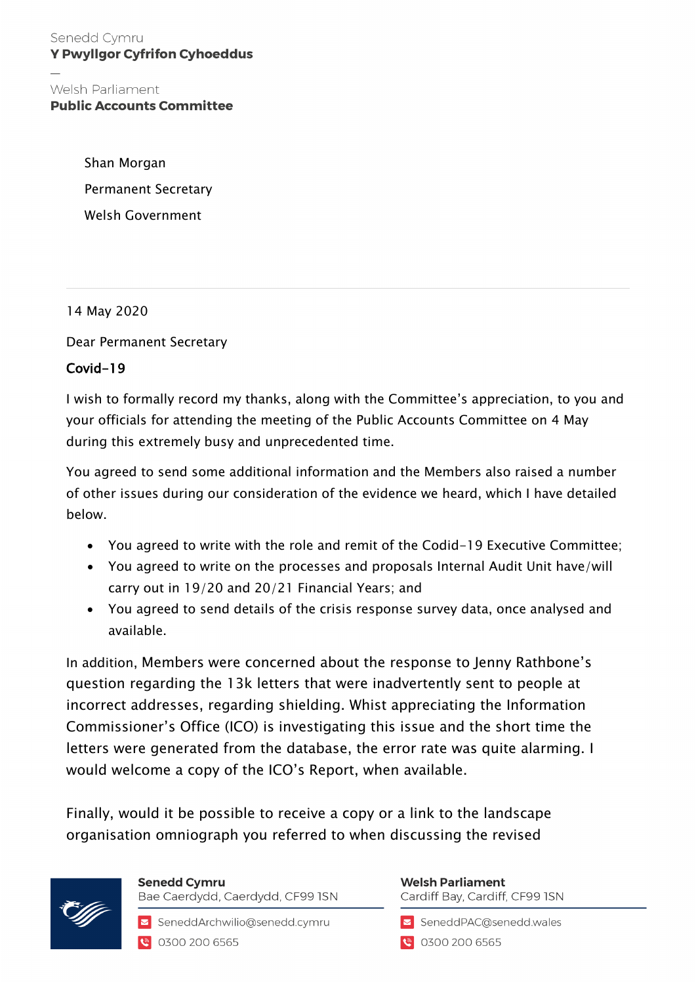Senedd Cymru **Y Pwyllgor Cyfrifon Cyhoeddus** 

Welsh Parliament **Public Accounts Committee** 

> Shan Morgan Permanent Secretary Welsh Government

14 May 2020

Dear Permanent Secretary

## Covid-19

I wish to formally record my thanks, along with the Committee's appreciation, to you and your officials for attending the meeting of the Public Accounts Committee on 4 May during this extremely busy and unprecedented time.

You agreed to send some additional information and the Members also raised a number of other issues during our consideration of the evidence we heard, which I have detailed below.

- You agreed to write with the role and remit of the Codid-19 Executive Committee;
- You agreed to write on the processes and proposals Internal Audit Unit have/will carry out in 19/20 and 20/21 Financial Years; and
- You agreed to send details of the crisis response survey data, once analysed and available.

In addition, Members were concerned about the response to Jenny Rathbone's question regarding the 13k letters that were inadvertently sent to people at incorrect addresses, regarding shielding. Whist appreciating the Information Commissioner's Office (ICO) is investigating this issue and the short time the letters were generated from the database, the error rate was quite alarming. I would welcome a copy of the ICO's Report, when available.

Finally, would it be possible to receive a copy or a link to the landscape organisation omniograph you referred to when discussing the revised



**Senedd Cymru** Bae Caerdydd, Caerdydd, CF99 ISN

SeneddArchwilio@senedd.cymru 0300 200 6565

**Welsh Parliament** Cardiff Bay, Cardiff, CF99 ISN

SeneddPAC@senedd.wales

**8** 0300 200 6565